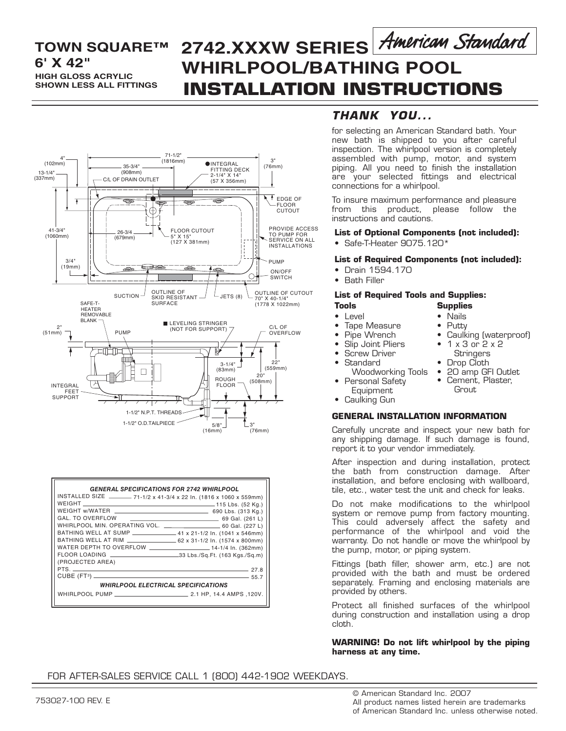## **HIGH GLOSS ACRYLIC SHOWN LESS ALL FITTINGS TOWN SQUARE™**

# **INSTALLATION INSTRUCTIONS 6' X 42" WHIRLPOOL/BATHING POOL 2742.XXXW SERIES**



| <b>GENERAL SPECIFICATIONS FOR 2742 WHIRLPOOL</b>                       |  |  |  |  |  |
|------------------------------------------------------------------------|--|--|--|--|--|
|                                                                        |  |  |  |  |  |
| INSTALLED SIZE _______ 71-1/2 x 41-3/4 x 22 In. (1816 x 1060 x 559mm)  |  |  |  |  |  |
|                                                                        |  |  |  |  |  |
|                                                                        |  |  |  |  |  |
|                                                                        |  |  |  |  |  |
| WHIRLPOOL MIN. OPERATING VOL. ________________________ 60 Gal. (227 L) |  |  |  |  |  |
| BATHING WELL AT SUMP _________________ 41 x 21-1/2 ln. (1041 x 546mm)  |  |  |  |  |  |
|                                                                        |  |  |  |  |  |
| WATER DEPTH TO OVERFLOW ______________________14-1/4 In. (362mm)       |  |  |  |  |  |
|                                                                        |  |  |  |  |  |
| (PROJECTED AREA)                                                       |  |  |  |  |  |
| $\sim$ 27.8                                                            |  |  |  |  |  |
|                                                                        |  |  |  |  |  |
| <b><i>WHIRLPOOL ELECTRICAL SPECIFICATIONS</i></b>                      |  |  |  |  |  |
|                                                                        |  |  |  |  |  |
|                                                                        |  |  |  |  |  |

## *THANK YOU...*

for selecting an American Standard bath. Your new bath is shipped to you after careful inspection. The whirlpool version is completely assembled with pump, motor, and system piping. All you need to finish the installation are your selected fittings and electrical connections for a whirlpool.

To insure maximum performance and pleasure from this product, please follow the instructions and cautions.

**List of Optional Components (not included):** • Safe-T-Heater 9075.120\*

#### **List of Required Components (not included):**

- Drain 1594.170
- Bath Filler

#### **List of Required Tools and Supplies: Tools Supplies**

### • Level

- Tape Measure
- Pipe Wrench
- Slip Joint Pliers
- **Screw Driver**
- **Standard**
- Woodworking Tools
- Personal Safety Equipment
- Caulking Gun

#### **GENERAL INSTALLATION INFORMATION**

Carefully uncrate and inspect your new bath for any shipping damage. If such damage is found, report it to your vendor immediately.

After inspection and during installation, protect the bath from construction damage. After installation, and before enclosing with wallboard, tile, etc., water test the unit and check for leaks.

Do not make modifications to the whirlpool system or remove pump from factory mounting. This could adversely affect the safety and performance of the whirlpool and void the warranty. Do not handle or move the whirlpool by the pump, motor, or piping system.

Fittings (bath filler, shower arm, etc.) are not provided with the bath and must be ordered separately. Framing and enclosing materials are provided by others.

Protect all finished surfaces of the whirlpool during construction and installation using a drop cloth.

#### **WARNING! Do not lift whirlpool by the piping harness at any time.**

### FOR AFTER-SALES SERVICE CALL 1 (800) 442-1902 WEEKDAYS.

© American Standard Inc. 2007 All product names listed herein are trademarks of American Standard Inc. unless otherwise noted.

• 1 x 3 or 2 x 2 **Stringers** • Drop Cloth

• Nails • Putty

• 20 amp GFI Outlet Cement, Plaster,

Caulking (waterproof)

**Grout**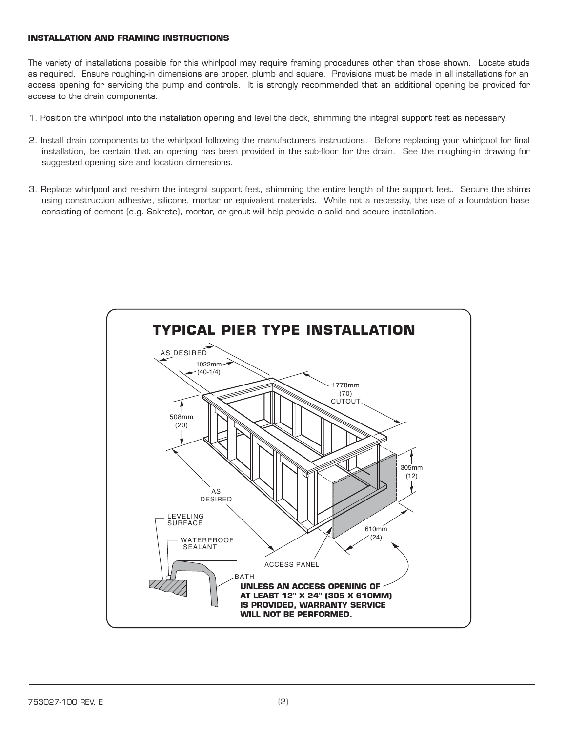#### **INSTALLATION AND FRAMING INSTRUCTIONS**

The variety of installations possible for this whirlpool may require framing procedures other than those shown. Locate studs as required. Ensure roughing-in dimensions are proper, plumb and square. Provisions must be made in all installations for an access opening for servicing the pump and controls. It is strongly recommended that an additional opening be provided for access to the drain components.

- 1. Position the whirlpool into the installation opening and level the deck, shimming the integral support feet as necessary.
- 2. Install drain components to the whirlpool following the manufacturers instructions. Before replacing your whirlpool for final installation, be certain that an opening has been provided in the sub-floor for the drain. See the roughing-in drawing for suggested opening size and location dimensions.
- 3. Replace whirlpool and re-shim the integral support feet, shimming the entire length of the support feet. Secure the shims using construction adhesive, silicone, mortar or equivalent materials. While not a necessity, the use of a foundation base consisting of cement (e.g. Sakrete), mortar, or grout will help provide a solid and secure installation.

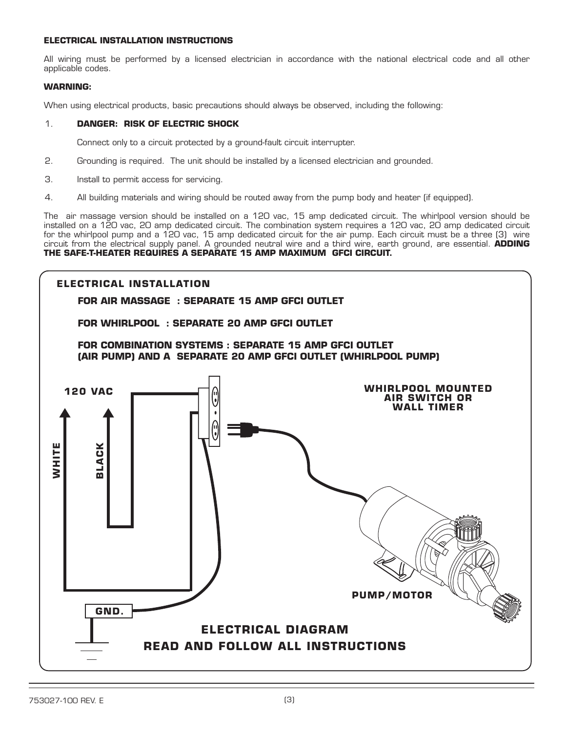#### **ELECTRICAL INSTALLATION INSTRUCTIONS**

All wiring must be performed by a licensed electrician in accordance with the national electrical code and all other applicable codes.

#### **WARNING:**

When using electrical products, basic precautions should always be observed, including the following:

### 1. **DANGER: RISK OF ELECTRIC SHOCK**

Connect only to a circuit protected by a ground-fault circuit interrupter.

- 2. Grounding is required. The unit should be installed by a licensed electrician and grounded.
- 3. Install to permit access for servicing.
- 4. All building materials and wiring should be routed away from the pump body and heater (if equipped).

The air massage version should be installed on a 120 vac, 15 amp dedicated circuit. The whirlpool version should be installed on a 120 vac, 20 amp dedicated circuit. The combination system requires a 120 vac, 20 amp dedicated circuit for the whirlpool pump and a 120 vac, 15 amp dedicated circuit for the air pump. Each circuit must be a three (3) wire circuit from the electrical supply panel. A grounded neutral wire and a third wire, earth ground, are essential. **ADDING THE SAFE-T-HEATER REQUIRES A SEPARATE 15 AMP MAXIMUM GFCI CIRCUIT.**